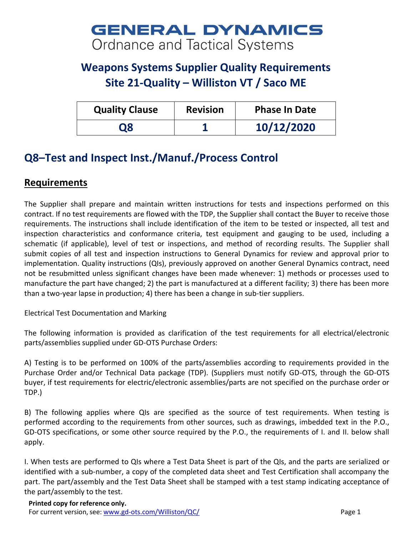## **GENERAL DYNAMICS** Ordnance and Tactical Systems

## **Weapons Systems Supplier Quality Requirements Site 21-Quality – Williston VT / Saco ME**

| <b>Quality Clause</b> | <b>Revision</b> | <b>Phase In Date</b> |
|-----------------------|-----------------|----------------------|
| Ο8                    |                 | 10/12/2020           |

## **Q8–Test and Inspect Inst./Manuf./Process Control**

## **Requirements**

The Supplier shall prepare and maintain written instructions for tests and inspections performed on this contract. If no test requirements are flowed with the TDP, the Supplier shall contact the Buyer to receive those requirements. The instructions shall include identification of the item to be tested or inspected, all test and inspection characteristics and conformance criteria, test equipment and gauging to be used, including a schematic (if applicable), level of test or inspections, and method of recording results. The Supplier shall submit copies of all test and inspection instructions to General Dynamics for review and approval prior to implementation. Quality instructions (QIs), previously approved on another General Dynamics contract, need not be resubmitted unless significant changes have been made whenever: 1) methods or processes used to manufacture the part have changed; 2) the part is manufactured at a different facility; 3) there has been more than a two-year lapse in production; 4) there has been a change in sub-tier suppliers.

Electrical Test Documentation and Marking

The following information is provided as clarification of the test requirements for all electrical/electronic parts/assemblies supplied under GD-OTS Purchase Orders:

A) Testing is to be performed on 100% of the parts/assemblies according to requirements provided in the Purchase Order and/or Technical Data package (TDP). (Suppliers must notify GD-OTS, through the GD-OTS buyer, if test requirements for electric/electronic assemblies/parts are not specified on the purchase order or TDP.)

B) The following applies where QIs are specified as the source of test requirements. When testing is performed according to the requirements from other sources, such as drawings, imbedded text in the P.O., GD-OTS specifications, or some other source required by the P.O., the requirements of I. and II. below shall apply.

I. When tests are performed to QIs where a Test Data Sheet is part of the QIs, and the parts are serialized or identified with a sub-number, a copy of the completed data sheet and Test Certification shall accompany the part. The part/assembly and the Test Data Sheet shall be stamped with a test stamp indicating acceptance of the part/assembly to the test.